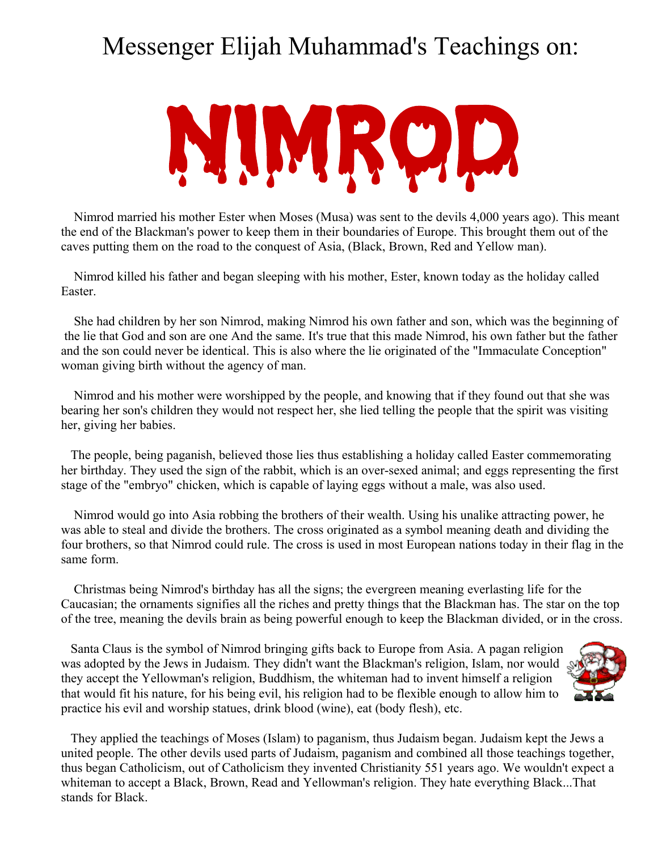## Messenger Elijah Muhammad's Teachings on:



 Nimrod married his mother Ester when Moses (Musa) was sent to the devils 4,000 years ago). This meant the end of the Blackman's power to keep them in their boundaries of Europe. This brought them out of the caves putting them on the road to the conquest of Asia, (Black, Brown, Red and Yellow man).

 Nimrod killed his father and began sleeping with his mother, Ester, known today as the holiday called Easter.

 She had children by her son Nimrod, making Nimrod his own father and son, which was the beginning of the lie that God and son are one And the same. It's true that this made Nimrod, his own father but the father and the son could never be identical. This is also where the lie originated of the "Immaculate Conception" woman giving birth without the agency of man.

 Nimrod and his mother were worshipped by the people, and knowing that if they found out that she was bearing her son's children they would not respect her, she lied telling the people that the spirit was visiting her, giving her babies.

The people, being paganish, believed those lies thus establishing a holiday called Easter commemorating her birthday. They used the sign of the rabbit, which is an over-sexed animal; and eggs representing the first stage of the "embryo" chicken, which is capable of laying eggs without a male, was also used.

 Nimrod would go into Asia robbing the brothers of their wealth. Using his unalike attracting power, he was able to steal and divide the brothers. The cross originated as a symbol meaning death and dividing the four brothers, so that Nimrod could rule. The cross is used in most European nations today in their flag in the same form.

 Christmas being Nimrod's birthday has all the signs; the evergreen meaning everlasting life for the Caucasian; the ornaments signifies all the riches and pretty things that the Blackman has. The star on the top of the tree, meaning the devils brain as being powerful enough to keep the Blackman divided, or in the cross.

Santa Claus is the symbol of Nimrod bringing gifts back to Europe from Asia. A pagan religion was adopted by the Jews in Judaism. They didn't want the Blackman's religion, Islam, nor would they accept the Yellowman's religion, Buddhism, the whiteman had to invent himself a religion that would fit his nature, for his being evil, his religion had to be flexible enough to allow him to practice his evil and worship statues, drink blood (wine), eat (body flesh), etc.



They applied the teachings of Moses (Islam) to paganism, thus Judaism began. Judaism kept the Jews a united people. The other devils used parts of Judaism, paganism and combined all those teachings together, thus began Catholicism, out of Catholicism they invented Christianity 551 years ago. We wouldn't expect a whiteman to accept a Black, Brown, Read and Yellowman's religion. They hate everything Black...That stands for Black.